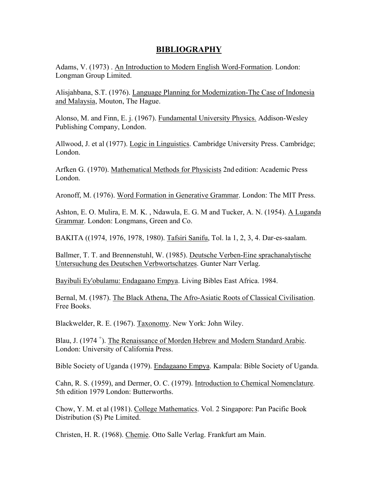## **BIBLIOGRAPHY**

Adams, V. (1973) . An Introduction to Modern English Word-Formation. London: Longman Group Limited.

Alisjahbana, S.T. (1976). Language Planning for Modernization-The Case of Indonesia and Malaysia, Mouton, The Hague.

Alonso, M. and Finn, E. j. (1967). Fundamental University Physics. Addison-Wesley Publishing Company, London.

Allwood, J. et al (1977). Logic in Linguistics. Cambridge University Press. Cambridge; London.

Arfken G. (1970). Mathematical Methods for Physicists 2nd edition: Academic Press London.

Aronoff, M. (1976). Word Formation in Generative Grammar. London: The MIT Press.

Ashton, E. O. Mulira, E. M. K. , Ndawula, E. G. M and Tucker, A. N. (1954). A Luganda Grammar. London: Longmans, Green and Co.

BAKITA ((1974, 1976, 1978, 1980). Tafsiri Sanifu, Tol. la 1, 2, 3, 4. Dar-es-saalam.

Ballmer, T. T. and Brennenstuhl, W. (1985). Deutsche Verben-Eine sprachanalytische Untersuchung des Deutschen Verbwortschatzes. Gunter Narr Verlag.

Bayibuli Ey'obulamu: Endagaano Empya. Living Bibles East Africa. 1984.

Bernal, M. (1987). The Black Athena, The Afro-Asiatic Roots of Classical Civilisation. Free Books.

Blackwelder, R. E. (1967). Taxonomy. New York: John Wiley.

Blau, J. (1974<sup>+</sup>). The Renaissance of Morden Hebrew and Modern Standard Arabic. London: University of California Press.

Bible Society of Uganda (1979). Endagaano Empya. Kampala: Bible Society of Uganda.

Cahn, R. S. (1959), and Dermer, O. C. (1979). Introduction to Chemical Nomenclature. 5th edition 1979 London: Butterworths.

Chow, Y. M. et al (1981). College Mathematics. Vol. 2 Singapore: Pan Pacific Book Distribution (S) Pte Limited.

Christen, H. R. (1968). Chemie. Otto Salle Verlag. Frankfurt am Main.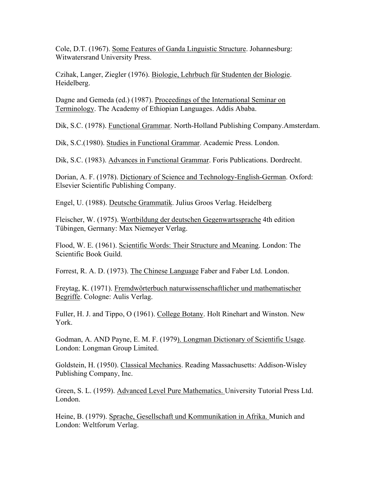Cole, D.T. (1967). Some Features of Ganda Linguistic Structure. Johannesburg: Witwatersrand University Press.

Czihak, Langer, Ziegler (1976). Biologie, Lehrbuch für Studenten der Biologie. Heidelberg.

Dagne and Gemeda (ed.) (1987). Proceedings of the International Seminar on Terminology. The Academy of Ethiopian Languages. Addis Ababa.

Dik, S.C. (1978). Functional Grammar. North-Holland Publishing Company.Amsterdam.

Dik, S.C.(1980). Studies in Functional Grammar. Academic Press. London.

Dik, S.C. (1983). Advances in Functional Grammar. Foris Publications. Dordrecht.

Dorian, A. F. (1978). Dictionary of Science and Technology-English-German. Oxford: Elsevier Scientific Publishing Company.

Engel, U. (1988). Deutsche Grammatik. Julius Groos Verlag. Heidelberg

Fleischer, W. (1975). Wortbildung der deutschen Gegenwartssprache 4th edition Tübingen, Germany: Max Niemeyer Verlag.

Flood, W. E. (1961). Scientific Words: Their Structure and Meaning. London: The Scientific Book Guild.

Forrest, R. A. D. (1973). The Chinese Language Faber and Faber Ltd. London.

Freytag, K. (1971). Fremdwörterbuch naturwissenschaftlicher und mathematischer Begriffe. Cologne: Aulis Verlag.

Fuller, H. J. and Tippo, O (1961). College Botany. Holt Rinehart and Winston. New York.

Godman, A. AND Payne, E. M. F. (1979). Longman Dictionary of Scientific Usage. London: Longman Group Limited.

Goldstein, H. (1950). Classical Mechanics. Reading Massachusetts: Addison-Wisley Publishing Company, Inc.

Green, S. L. (1959). Advanced Level Pure Mathematics. University Tutorial Press Ltd. London.

Heine, B. (1979). Sprache, Gesellschaft und Kommunikation in Afrika. Munich and London: Weltforum Verlag.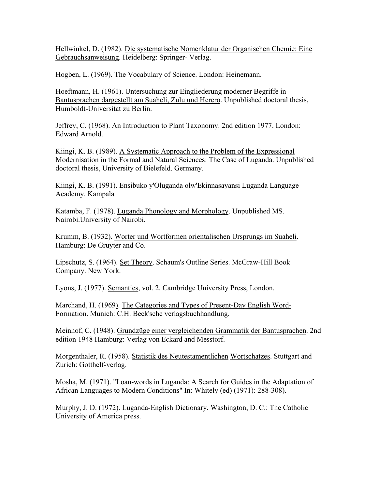Hellwinkel, D. (1982). Die systematische Nomenklatur der Organischen Chemie: Eine Gebrauchsanweisung. Heidelberg: Springer- Verlag.

Hogben, L. (1969). The Vocabulary of Science. London: Heinemann.

Hoeftmann, H. (1961). Untersuchung zur Eingliederung moderner Begriffe in Bantusprachen dargestellt am Suaheli, Zulu und Herero. Unpublished doctoral thesis, Humboldt-Universitat zu Berlin.

Jeffrey, C. (1968). An Introduction to Plant Taxonomy. 2nd edition 1977. London: Edward Arnold.

Kiingi, K. B. (1989). A Systematic Approach to the Problem of the Expressional Modernisation in the Formal and Natural Sciences: The Case of Luganda. Unpublished doctoral thesis, University of Bielefeld. Germany.

Kiingi, K. B. (1991). Ensibuko y'Oluganda olw'Ekinnasayansi Luganda Language Academy. Kampala

Katamba, F. (1978). Luganda Phonology and Morphology. Unpublished MS. Nairobi.University of Nairobi.

Krumm, B. (1932). Worter und Wortformen orientalischen Ursprungs im Suaheli. Hamburg: De Gruyter and Co.

Lipschutz, S. (1964). Set Theory. Schaum's Outline Series. McGraw-Hill Book Company. New York.

Lyons, J. (1977). Semantics, vol. 2. Cambridge University Press, London.

Marchand, H. (1969). The Categories and Types of Present-Day English Word-Formation. Munich: C.H. Beck'sche verlagsbuchhandlung.

Meinhof, C. (1948). Grundzüge einer vergleichenden Grammatik der Bantusprachen. 2nd edition 1948 Hamburg: Verlag von Eckard and Messtorf.

Morgenthaler, R. (1958). Statistik des Neutestamentlichen Wortschatzes. Stuttgart and Zurich: Gotthelf-verlag.

Mosha, M. (1971). "Loan-words in Luganda: A Search for Guides in the Adaptation of African Languages to Modern Conditions" In: Whitely (ed) (1971): 288-308).

Murphy, J. D. (1972). Luganda-English Dictionary. Washington, D. C.: The Catholic University of America press.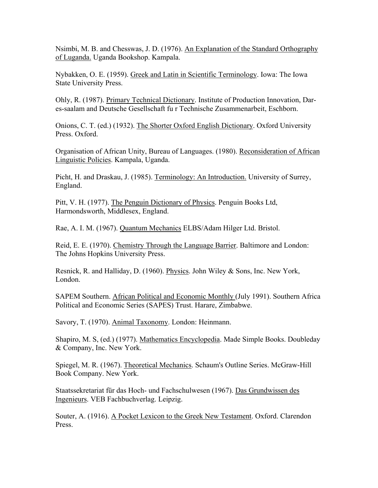Nsimbi, M. B. and Chesswas, J. D. (1976). An Explanation of the Standard Orthography of Luganda. Uganda Bookshop. Kampala.

Nybakken, O. E. (1959). Greek and Latin in Scientific Terminology. Iowa: The Iowa State University Press.

Ohly, R. (1987). Primary Technical Dictionary. Institute of Production Innovation, Dares-saalam and Deutsche Gesellschaft fu r Technische Zusammenarbeit, Eschborn.

Onions, C. T. (ed.) (1932). The Shorter Oxford English Dictionary. Oxford University Press. Oxford.

Organisation of African Unity, Bureau of Languages. (1980). Reconsideration of African Linguistic Policies. Kampala, Uganda.

Picht, H. and Draskau, J. (1985). Terminology: An Introduction. University of Surrey, England.

Pitt, V. H. (1977). The Penguin Dictionary of Physics. Penguin Books Ltd, Harmondsworth, Middlesex, England.

Rae, A. I. M. (1967). Quantum Mechanics ELBS/Adam Hilger Ltd. Bristol.

Reid, E. E. (1970). Chemistry Through the Language Barrier. Baltimore and London: The Johns Hopkins University Press.

Resnick, R. and Halliday, D. (1960). *Physics*. John Wiley & Sons, Inc. New York, London.

SAPEM Southern. African Political and Economic Monthly (July 1991). Southern Africa Political and Economic Series (SAPES) Trust. Harare, Zimbabwe.

Savory, T. (1970). Animal Taxonomy. London: Heinmann.

Shapiro, M. S, (ed.) (1977). Mathematics Encyclopedia. Made Simple Books. Doubleday & Company, Inc. New York.

Spiegel, M. R. (1967). Theoretical Mechanics. Schaum's Outline Series. McGraw-Hill Book Company. New York.

Staatssekretariat für das Hoch- und Fachschulwesen (1967). Das Grundwissen des Ingenieurs. VEB Fachbuchverlag. Leipzig.

Souter, A. (1916). A Pocket Lexicon to the Greek New Testament. Oxford. Clarendon Press.